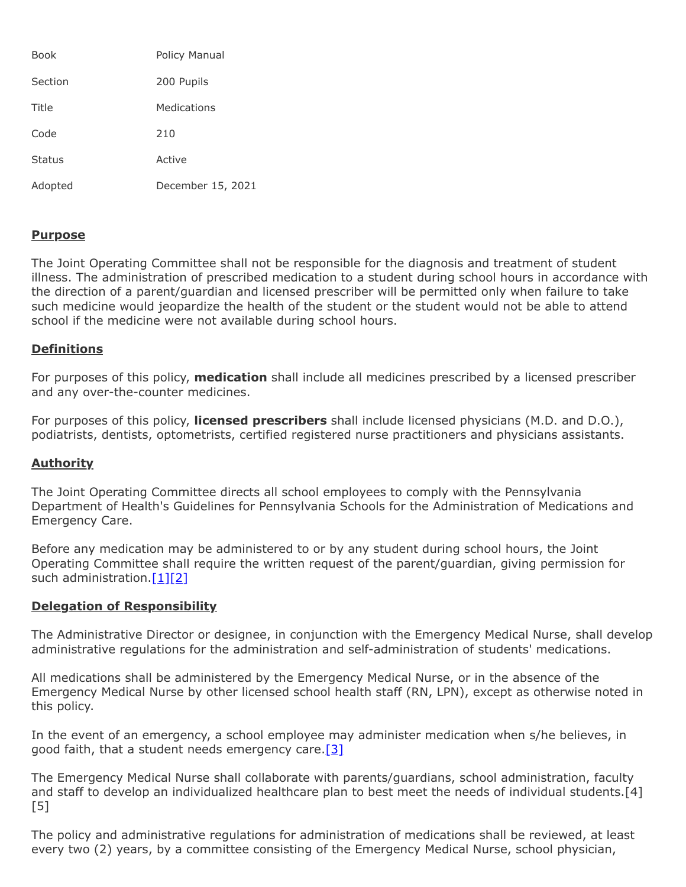| Book          | Policy Manual     |
|---------------|-------------------|
| Section       | 200 Pupils        |
| Title         | Medications       |
| Code          | 210               |
| <b>Status</b> | Active            |
| Adopted       | December 15, 2021 |

## **Purpose**

The Joint Operating Committee shall not be responsible for the diagnosis and treatment of student illness. The administration of prescribed medication to a student during school hours in accordance with the direction of a parent/guardian and licensed prescriber will be permitted only when failure to take such medicine would jeopardize the health of the student or the student would not be able to attend school if the medicine were not available during school hours.

## **Definitions**

For purposes of this policy, **medication** shall include all medicines prescribed by a licensed prescriber and any over-the-counter medicines.

For purposes of this policy, **licensed prescribers** shall include licensed physicians (M.D. and D.O.), podiatrists, dentists, optometrists, certified registered nurse practitioners and physicians assistants.

## **Authority**

The Joint Operating Committee directs all school employees to comply with the Pennsylvania Department of Health's Guidelines for Pennsylvania Schools for the Administration of Medications and Emergency Care.

Before any medication may be administered to or by any student during school hours, the Joint Operating Committee shall require the written request of the parent/guardian, giving permission for such administration.<sup>[1][\[2\]](http://pacodeandbulletin.gov/Display/pacode?file=/secure/pacode/data/022/chapter12/s12.41.html&d=reduce)</sup>

## **Delegation of Responsibility**

The Administrative Director or designee, in conjunction with the Emergency Medical Nurse, shall develop administrative regulations for the administration and self-administration of students' medications.

All medications shall be administered by the Emergency Medical Nurse, or in the absence of the Emergency Medical Nurse by other licensed school health staff (RN, LPN), except as otherwise noted in this policy.

In the event of an emergency, a school employee may administer medication when s/he believes, in good faith, that a student needs emergency care. [\[3\]](http://www.legis.state.pa.us/cfdocs/legis/LI/consCheck.cfm?txtType=HTM&ttl=42&div=0&chpt=83&sctn=37&subsctn=1)

The Emergency Medical Nurse shall collaborate with parents/guardians, school administration, faculty and staff to develop an individualized healthcare plan to best meet the needs of individual students.<sup>[4]</sup> [5]

The policy and administrative regulations for administration of medications shall be reviewed, at least every two (2) years, by a committee consisting of the Emergency Medical Nurse, school physician,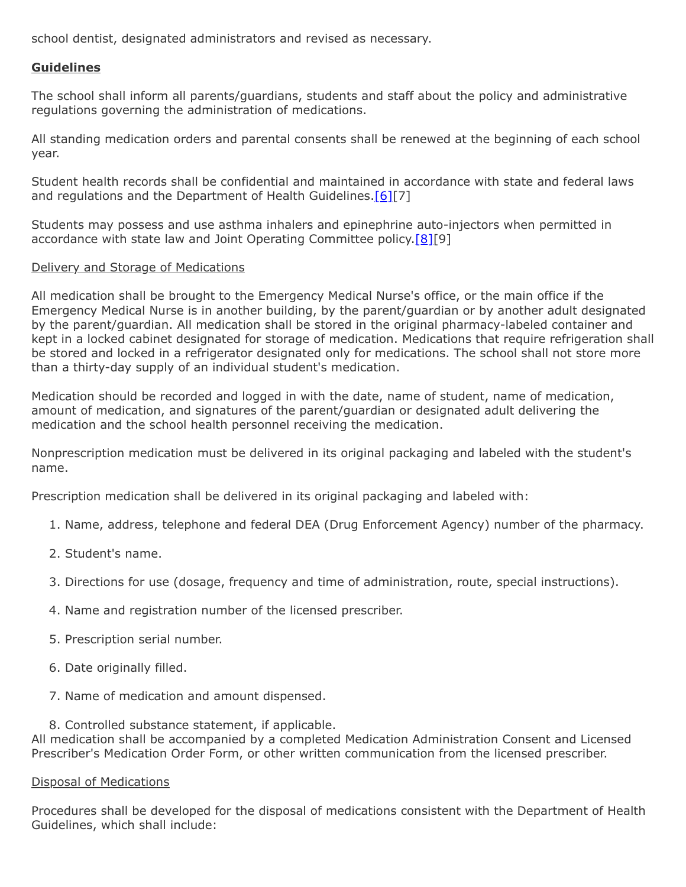school dentist, designated administrators and revised as necessary.

# **Guidelines**

The school shall inform all parents/guardians, students and staff about the policy and administrative regulations governing the administration of medications.

All standing medication orders and parental consents shall be renewed at the beginning of each school year.

Student health records shall be confidential and maintained in accordance with state and federal laws and regulations and the Department of Health Guidelines.<sup>[6][7]</sup>

Students may possess and use asthma inhalers and epinephrine auto-injectors when permitted in accordance with state law and Joint Operating Committee policy.<sup>[8][9]</sup>

#### Delivery and Storage of Medications

All medication shall be brought to the Emergency Medical Nurse's office, or the main office if the Emergency Medical Nurse is in another building, by the parent/guardian or by another adult designated by the parent/guardian. All medication shall be stored in the original pharmacy-labeled container and kept in a locked cabinet designated for storage of medication. Medications that require refrigeration shall be stored and locked in a refrigerator designated only for medications. The school shall not store more than a thirty-day supply of an individual student's medication.

Medication should be recorded and logged in with the date, name of student, name of medication, amount of medication, and signatures of the parent/guardian or designated adult delivering the medication and the school health personnel receiving the medication.

Nonprescription medication must be delivered in its original packaging and labeled with the student's name.

Prescription medication shall be delivered in its original packaging and labeled with:

- 1. Name, address, telephone and federal DEA (Drug Enforcement Agency) number of the pharmacy.
- 2. Student's name.
- 3. Directions for use (dosage, frequency and time of administration, route, special instructions).
- 4. Name and registration number of the licensed prescriber.
- 5. Prescription serial number.
- 6. Date originally filled.
- 7. Name of medication and amount dispensed.
- 8. Controlled substance statement, if applicable.

All medication shall be accompanied by a completed Medication Administration Consent and Licensed Prescriber's Medication Order Form, or other written communication from the licensed prescriber.

#### Disposal of Medications

Procedures shall be developed for the disposal of medications consistent with the Department of Health Guidelines, which shall include: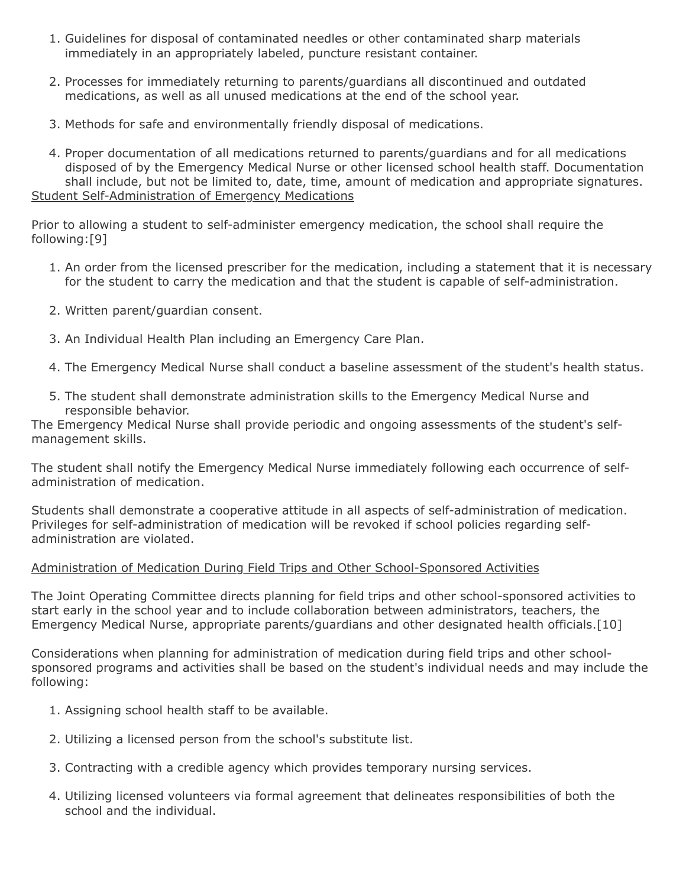- 1. Guidelines for disposal of contaminated needles or other contaminated sharp materials immediately in an appropriately labeled, puncture resistant container.
- 2. Processes for immediately returning to parents/guardians all discontinued and outdated medications, as well as all unused medications at the end of the school year.
- 3. Methods for safe and environmentally friendly disposal of medications.
- 4. Proper documentation of all medications returned to parents/guardians and for all medications disposed of by the Emergency Medical Nurse or other licensed school health staff. Documentation shall include, but not be limited to, date, time, amount of medication and appropriate signatures. Student Self-Administration of Emergency Medications

Prior to allowing a student to self-administer emergency medication, the school shall require the following:[9]

- 1. An order from the licensed prescriber for the medication, including a statement that it is necessary for the student to carry the medication and that the student is capable of self-administration.
- 2. Written parent/guardian consent.
- 3. An Individual Health Plan including an Emergency Care Plan.
- 4. The Emergency Medical Nurse shall conduct a baseline assessment of the student's health status.
- 5. The student shall demonstrate administration skills to the Emergency Medical Nurse and responsible behavior.

The Emergency Medical Nurse shall provide periodic and ongoing assessments of the student's selfmanagement skills.

The student shall notify the Emergency Medical Nurse immediately following each occurrence of selfadministration of medication.

Students shall demonstrate a cooperative attitude in all aspects of self-administration of medication. Privileges for self-administration of medication will be revoked if school policies regarding selfadministration are violated.

# Administration of Medication During Field Trips and Other School-Sponsored Activities

The Joint Operating Committee directs planning for field trips and other school-sponsored activities to start early in the school year and to include collaboration between administrators, teachers, the Emergency Medical Nurse, appropriate parents/guardians and other designated health officials.[10]

Considerations when planning for administration of medication during field trips and other schoolsponsored programs and activities shall be based on the student's individual needs and may include the following:

- 1. Assigning school health staff to be available.
- 2. Utilizing a licensed person from the school's substitute list.
- 3. Contracting with a credible agency which provides temporary nursing services.
- 4. Utilizing licensed volunteers via formal agreement that delineates responsibilities of both the school and the individual.